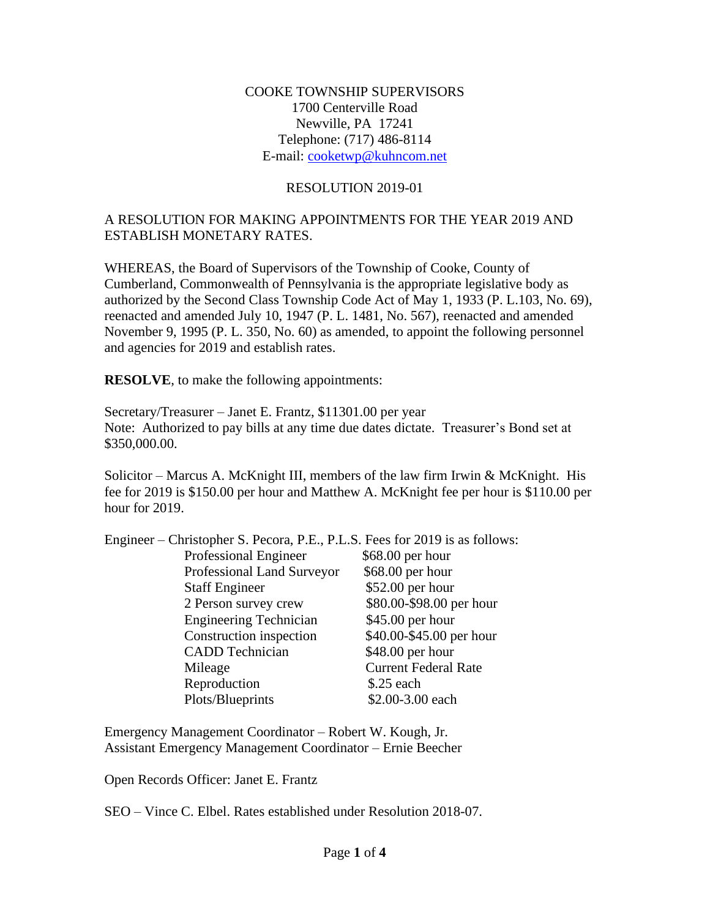#### COOKE TOWNSHIP SUPERVISORS 1700 Centerville Road Newville, PA 17241 Telephone: (717) 486-8114 E-mail: [cooketwp@kuhncom.net](mailto:cooketwp@kuhncom.net)

#### RESOLUTION 2019-01

## A RESOLUTION FOR MAKING APPOINTMENTS FOR THE YEAR 2019 AND ESTABLISH MONETARY RATES.

WHEREAS, the Board of Supervisors of the Township of Cooke, County of Cumberland, Commonwealth of Pennsylvania is the appropriate legislative body as authorized by the Second Class Township Code Act of May 1, 1933 (P. L.103, No. 69), reenacted and amended July 10, 1947 (P. L. 1481, No. 567), reenacted and amended November 9, 1995 (P. L. 350, No. 60) as amended, to appoint the following personnel and agencies for 2019 and establish rates.

**RESOLVE**, to make the following appointments:

Secretary/Treasurer – Janet E. Frantz, \$11301.00 per year Note: Authorized to pay bills at any time due dates dictate. Treasurer's Bond set at \$350,000.00.

Solicitor – Marcus A. McKnight III, members of the law firm Irwin & McKnight. His fee for 2019 is \$150.00 per hour and Matthew A. McKnight fee per hour is \$110.00 per hour for 2019.

| Engineer – Christopher S. Pecora, P.E., P.L.S. Fees for 2019 is as follows: |                             |
|-----------------------------------------------------------------------------|-----------------------------|
| Professional Engineer                                                       | \$68.00 per hour            |
| Professional Land Surveyor                                                  | \$68.00 per hour            |
| <b>Staff Engineer</b>                                                       | \$52.00 per hour            |
| 2 Person survey crew                                                        | \$80.00-\$98.00 per hour    |
| <b>Engineering Technician</b>                                               | \$45.00 per hour            |
| Construction inspection                                                     | \$40.00-\$45.00 per hour    |
| <b>CADD</b> Technician                                                      | \$48.00 per hour            |
| Mileage                                                                     | <b>Current Federal Rate</b> |
| Reproduction                                                                | $$.25$ each                 |
| Plots/Blueprints                                                            | \$2.00-3.00 each            |

Emergency Management Coordinator – Robert W. Kough, Jr. Assistant Emergency Management Coordinator – Ernie Beecher

Open Records Officer: Janet E. Frantz

SEO – Vince C. Elbel. Rates established under Resolution 2018-07.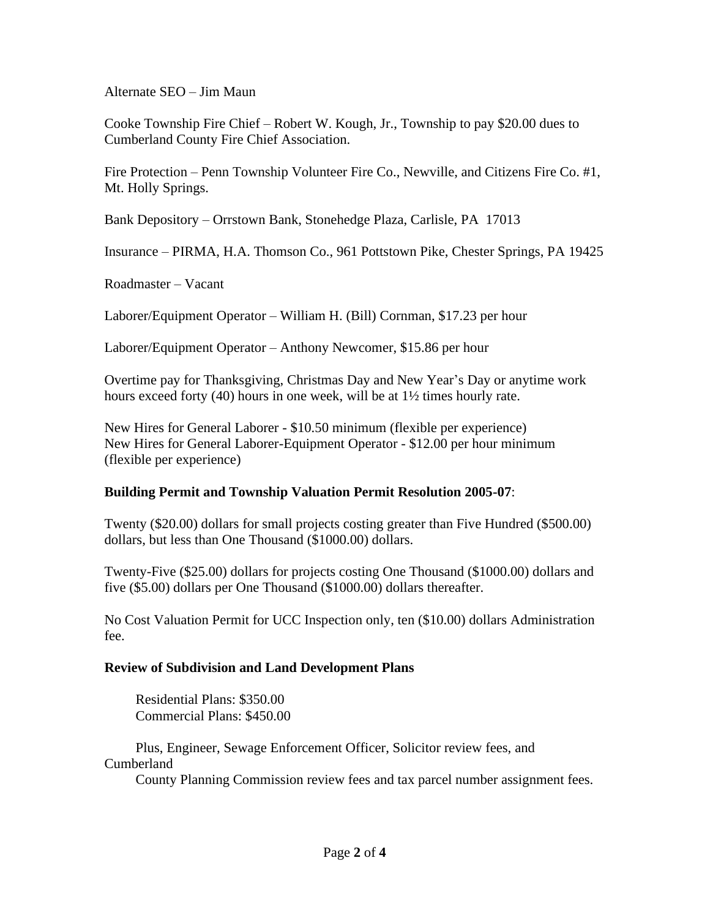Alternate SEO – Jim Maun

Cooke Township Fire Chief – Robert W. Kough, Jr., Township to pay \$20.00 dues to Cumberland County Fire Chief Association.

Fire Protection – Penn Township Volunteer Fire Co., Newville, and Citizens Fire Co. #1, Mt. Holly Springs.

Bank Depository – Orrstown Bank, Stonehedge Plaza, Carlisle, PA 17013

Insurance – PIRMA, H.A. Thomson Co., 961 Pottstown Pike, Chester Springs, PA 19425

Roadmaster – Vacant

Laborer/Equipment Operator – William H. (Bill) Cornman, \$17.23 per hour

Laborer/Equipment Operator – Anthony Newcomer, \$15.86 per hour

Overtime pay for Thanksgiving, Christmas Day and New Year's Day or anytime work hours exceed forty (40) hours in one week, will be at 1½ times hourly rate.

New Hires for General Laborer - \$10.50 minimum (flexible per experience) New Hires for General Laborer-Equipment Operator - \$12.00 per hour minimum (flexible per experience)

## **Building Permit and Township Valuation Permit Resolution 2005-07**:

Twenty (\$20.00) dollars for small projects costing greater than Five Hundred (\$500.00) dollars, but less than One Thousand (\$1000.00) dollars.

Twenty-Five (\$25.00) dollars for projects costing One Thousand (\$1000.00) dollars and five (\$5.00) dollars per One Thousand (\$1000.00) dollars thereafter.

No Cost Valuation Permit for UCC Inspection only, ten (\$10.00) dollars Administration fee.

## **Review of Subdivision and Land Development Plans**

 Residential Plans: \$350.00 Commercial Plans: \$450.00

 Plus, Engineer, Sewage Enforcement Officer, Solicitor review fees, and Cumberland

County Planning Commission review fees and tax parcel number assignment fees.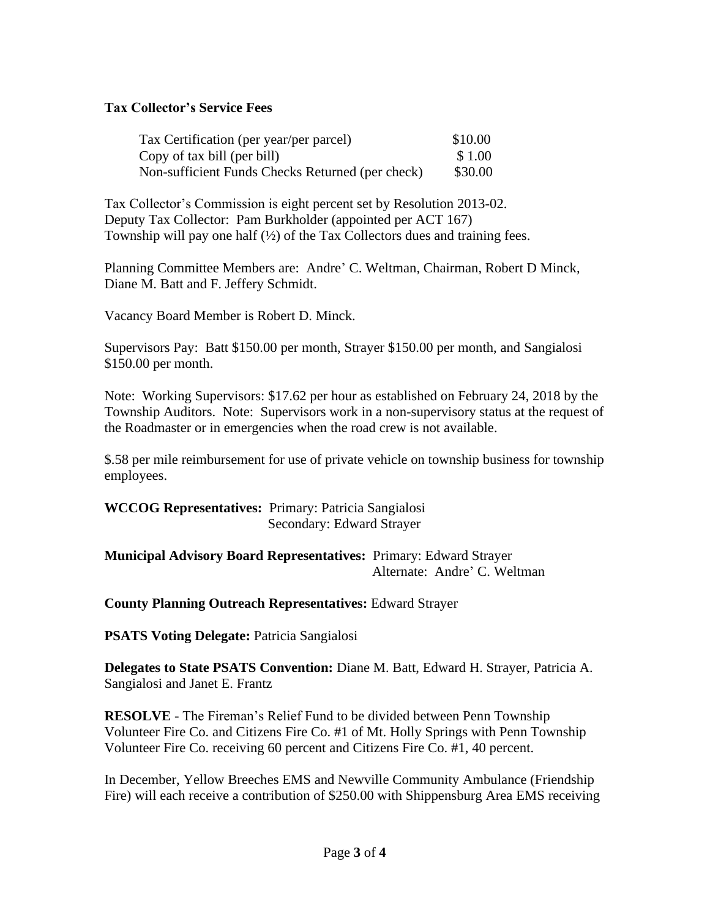## **Tax Collector's Service Fees**

| Tax Certification (per year/per parcel)          | \$10.00 |
|--------------------------------------------------|---------|
| Copy of tax bill (per bill)                      | \$1.00  |
| Non-sufficient Funds Checks Returned (per check) | \$30.00 |

Tax Collector's Commission is eight percent set by Resolution 2013-02. Deputy Tax Collector: Pam Burkholder (appointed per ACT 167) Township will pay one half  $(\frac{1}{2})$  of the Tax Collectors dues and training fees.

Planning Committee Members are: Andre' C. Weltman, Chairman, Robert D Minck, Diane M. Batt and F. Jeffery Schmidt.

Vacancy Board Member is Robert D. Minck.

Supervisors Pay: Batt \$150.00 per month, Strayer \$150.00 per month, and Sangialosi \$150.00 per month.

Note: Working Supervisors: \$17.62 per hour as established on February 24, 2018 by the Township Auditors. Note: Supervisors work in a non-supervisory status at the request of the Roadmaster or in emergencies when the road crew is not available.

\$.58 per mile reimbursement for use of private vehicle on township business for township employees.

**WCCOG Representatives:** Primary: Patricia Sangialosi Secondary: Edward Strayer

#### **Municipal Advisory Board Representatives:** Primary: Edward Strayer Alternate: Andre' C. Weltman

## **County Planning Outreach Representatives:** Edward Strayer

**PSATS Voting Delegate:** Patricia Sangialosi

**Delegates to State PSATS Convention:** Diane M. Batt, Edward H. Strayer, Patricia A. Sangialosi and Janet E. Frantz

**RESOLVE** - The Fireman's Relief Fund to be divided between Penn Township Volunteer Fire Co. and Citizens Fire Co. #1 of Mt. Holly Springs with Penn Township Volunteer Fire Co. receiving 60 percent and Citizens Fire Co. #1, 40 percent.

In December, Yellow Breeches EMS and Newville Community Ambulance (Friendship Fire) will each receive a contribution of \$250.00 with Shippensburg Area EMS receiving